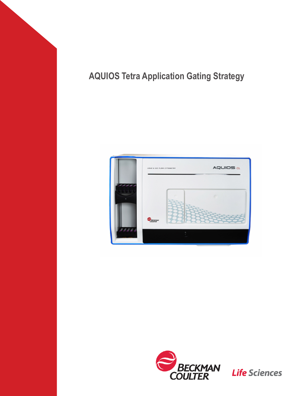# **AQUIOS Tetra Application Gating Strategy**





**Life Sciences**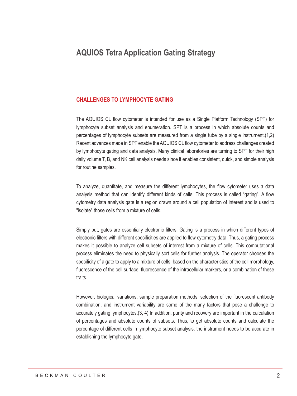## **AQUIOS Tetra Application Gating Strategy**

#### **CHALLENGES TO LYMPHOCYTE GATING**

The AQUIOS CL flow cytometer is intended for use as a Single Platform Technology (SPT) for lymphocyte subset analysis and enumeration. SPT is a process in which absolute counts and percentages of lymphocyte subsets are measured from a single tube by a single instrument.(1,2) Recent advances made in SPT enable the AQUIOS CL flow cytometer to address challenges created by lymphocyte gating and data analysis. Many clinical laboratories are turning to SPT for their high daily volume T, B, and NK cell analysis needs since it enables consistent, quick, and simple analysis for routine samples.

To analyze, quantitate, and measure the different lymphocytes, the flow cytometer uses a data analysis method that can identify different kinds of cells. This process is called "gating". A flow cytometry data analysis gate is a region drawn around a cell population of interest and is used to "isolate" those cells from a mixture of cells.

Simply put, gates are essentially electronic filters. Gating is a process in which different types of electronic filters with different specificities are applied to flow cytometry data. Thus, a gating process makes it possible to analyze cell subsets of interest from a mixture of cells. This computational process eliminates the need to physically sort cells for further analysis. The operator chooses the specificity of a gate to apply to a mixture of cells, based on the characteristics of the cell morphology, fluorescence of the cell surface, fluorescence of the intracellular markers, or a combination of these **traits** 

However, biological variations, sample preparation methods, selection of the fluorescent antibody combination, and instrument variability are some of the many factors that pose a challenge to accurately gating lymphocytes.(3, 4) In addition, purity and recovery are important in the calculation of percentages and absolute counts of subsets. Thus, to get absolute counts and calculate the percentage of different cells in lymphocyte subset analysis, the instrument needs to be accurate in establishing the lymphocyte gate.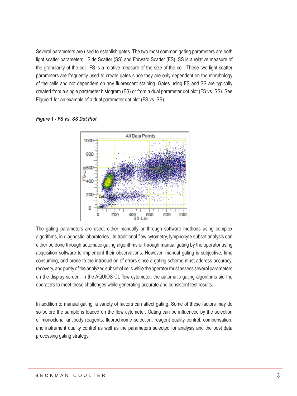Several parameters are used to establish gates. The two most common gating parameters are both light scatter parameters Side Scatter (SS) and Forward Scatter (FS). SS is a relative measure of the granularity of the cell. FS is a relative measure of the size of the cell. These two light scatter parameters are frequently used to create gates since they are only dependent on the morphology of the cells and not dependent on any fluorescent staining. Gates using FS and SS are typically created from a single parameter histogram (FS) or from a dual parameter dot plot (FS vs. SS). See Figure 1 for an example of a dual parameter dot plot (FS vs. SS).

*Figure 1 - FS vs. SS Dot Plot*



The gating parameters are used, either manually or through software methods using complex algorithms, in diagnostic laboratories. In traditional flow cytometry, lymphocyte subset analysis can either be done through automatic gating algorithms or through manual gating by the operator using acquisition software to implement their observations. However, manual gating is subjective, time consuming, and prone to the introduction of errors since a gating scheme must address accuracy, recovery, and purity of the analyzed subset of cells while the operator must assess several parameters on the display screen. In the AQUIOS CL flow cytometer, the automatic gating algorithms aid the operators to meet these challenges while generating accurate and consistent test results.

In addition to manual gating, a variety of factors can affect gating. Some of these factors may do so before the sample is loaded on the flow cytometer. Gating can be influenced by the selection of monoclonal antibody reagents, fluorochrome selection, reagent quality control, compensation, and instrument quality control as well as the parameters selected for analysis and the post data processing gating strategy.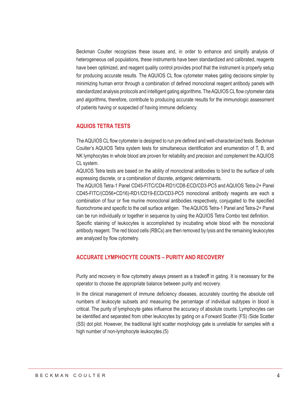Beckman Coulter recognizes these issues and, in order to enhance and simplify analysis of heterogeneous cell populations, these instruments have been standardized and calibrated, reagents have been optimized, and reagent quality control provides proof that the instrument is properly setup for producing accurate results. The AQUIOS CL flow cytometer makes gating decisions simpler by minimizing human error through a combination of defined monoclonal reagent antibody panels with standardized analysis protocols and intelligent gating algorithms. The AQUIOS CL flow cytometer data and algorithms, therefore, contribute to producing accurate results for the immunologic assessment of patients having or suspected of having immune deficiency.

#### **AQUIOS TETRA TESTS**

The AQUIOS CL flow cytometer is designed to run pre defined and well-characterized tests. Beckman Coulter's AQUIOS Tetra system tests for simultaneous identification and enumeration of T, B, and NK lymphocytes in whole blood are proven for reliability and precision and complement the AQUIOS CL system.

AQUIOS Tetra tests are based on the ability of monoclonal antibodies to bind to the surface of cells expressing discrete, or a combination of discrete, antigenic determinants.

The AQUIOS Tetra-1 Panel CD45-FITC/CD4-RD1/CD8-ECD/CD3-PC5 and AQUIOS Tetra-2+ Panel CD45-FITC/(CD56+CD16)-RD1/CD19-ECD/CD3-PC5 monoclonal antibody reagents are each a combination of four or five murine monoclonal antibodies respectively, conjugated to the specified fluorochrome and specific to the cell surface antigen. The AQUIOS Tetra-1 Panel and Tetra-2+ Panel can be run individually or together in sequence by using the AQUIOS Tetra Combo test definition.

Specific staining of leukocytes is accomplished by incubating whole blood with the monoclonal antibody reagent. The red blood cells (RBCs) are then removed by lysis and the remaining leukocytes are analyzed by flow cytometry.

#### **ACCURATE LYMPHOCYTE COUNTS – PURITY AND RECOVERY**

Purity and recovery in flow cytometry always present as a tradeoff in gating. It is necessary for the operator to choose the appropriate balance between purity and recovery.

In the clinical management of immune deficiency diseases, accurately counting the absolute cell numbers of leukocyte subsets and measuring the percentage of individual subtypes in blood is critical. The purity of lymphocyte gates influence the accuracy of absolute counts. Lymphocytes can be identified and separated from other leukocytes by gating on a Forward Scatter (FS) /Side Scatter (SS) dot plot. However, the traditional light scatter morphology gate is unreliable for samples with a high number of non-lymphocyte leukocytes.(5)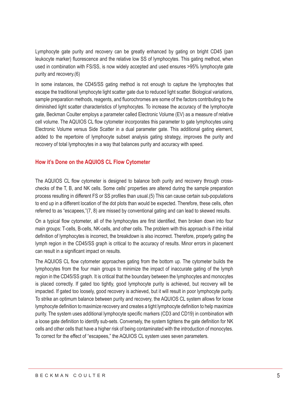Lymphocyte gate purity and recovery can be greatly enhanced by gating on bright CD45 (pan leukocyte marker) fluorescence and the relative low SS of lymphocytes. This gating method, when used in combination with FS/SS, is now widely accepted and used ensures >95% lymphocyte gate purity and recovery.(6)

In some instances, the CD45/SS gating method is not enough to capture the lymphocytes that escape the traditional lymphocyte light scatter gate due to reduced light scatter. Biological variations, sample preparation methods, reagents, and fluorochromes are some of the factors contributing to the diminished light scatter characteristics of lymphocytes. To increase the accuracy of the lymphocyte gate, Beckman Coulter employs a parameter called Electronic Volume (EV) as a measure of relative cell volume. The AQUIOS CL flow cytometer incorporates this parameter to gate lymphocytes using Electronic Volume versus Side Scatter in a dual parameter gate. This additional gating element, added to the repertoire of lymphocyte subset analysis gating strategy, improves the purity and recovery of total lymphocytes in a way that balances purity and accuracy with speed.

#### **How it's Done on the AQUIOS CL Flow Cytometer**

The AQUIOS CL flow cytometer is designed to balance both purity and recovery through crosschecks of the T, B, and NK cells. Some cells' properties are altered during the sample preparation process resulting in different FS or SS profiles than usual.(5) This can cause certain sub-populations to end up in a different location of the dot plots than would be expected. Therefore, these cells, often referred to as "escapees,"(7, 8) are missed by conventional gating and can lead to skewed results.

On a typical flow cytometer, all of the lymphocytes are first identified, then broken down into four main groups: T-cells, B-cells, NK-cells, and other cells. The problem with this approach is if the initial definition of lymphocytes is incorrect, the breakdown is also incorrect. Therefore, properly gating the lymph region in the CD45/SS graph is critical to the accuracy of results. Minor errors in placement can result in a significant impact on results.

The AQUIOS CL flow cytometer approaches gating from the bottom up. The cytometer builds the lymphocytes from the four main groups to minimize the impact of inaccurate gating of the lymph region in the CD45/SS graph. It is critical that the boundary between the lymphocytes and monocytes is placed correctly. If gated too tightly, good lymphocyte purity is achieved, but recovery will be impacted. If gated too loosely, good recovery is achieved, but it will result in poor lymphocyte purity. To strike an optimum balance between purity and recovery, the AQUIOS CL system allows for loose lymphocyte definition to maximize recovery and creates a tight lymphocyte definition to help maximize purity. The system uses additional lymphocyte specific markers (CD3 and CD19) in combination with a loose gate definition to identify sub-sets. Conversely, the system tightens the gate definition for NK cells and other cells that have a higher risk of being contaminated with the introduction of monocytes. To correct for the effect of "escapees," the AQUIOS CL system uses seven parameters.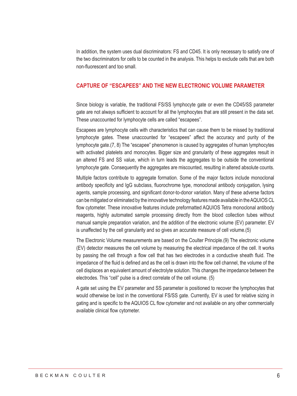In addition, the system uses dual discriminators: FS and CD45. It is only necessary to satisfy one of the two discriminators for cells to be counted in the analysis. This helps to exclude cells that are both non-fluorescent and too small.

#### **CAPTURE OF "ESCAPEES" AND THE NEW ELECTRONIC VOLUME PARAMETER**

Since biology is variable, the traditional FS/SS lymphocyte gate or even the CD45/SS parameter gate are not always sufficient to account for all the lymphocytes that are still present in the data set. These unaccounted for lymphocyte cells are called "escapees".

Escapees are lymphocyte cells with characteristics that can cause them to be missed by traditional lymphocyte gates. These unaccounted for "escapees" affect the accuracy and purity of the lymphocyte gate.(7, 8) The "escapee" phenomenon is caused by aggregates of human lymphocytes with activated platelets and monocytes. Bigger size and granularity of these aggregates result in an altered FS and SS value, which in turn leads the aggregates to be outside the conventional lymphocyte gate. Consequently the aggregates are miscounted, resulting in altered absolute counts.

Multiple factors contribute to aggregate formation. Some of the major factors include monoclonal antibody specificity and IgG subclass, fluorochrome type, monoclonal antibody conjugation, lysing agents, sample processing, and significant donor-to-donor variation. Many of these adverse factors can be mitigated or eliminated by the innovative technology features made available in the AQUIOS CL flow cytometer. These innovative features include preformatted AQUIOS Tetra monoclonal antibody reagents, highly automated sample processing directly from the blood collection tubes without manual sample preparation variation, and the addition of the electronic volume (EV) parameter. EV is unaffected by the cell granularity and so gives an accurate measure of cell volume.(5)

The Electronic Volume measurements are based on the Coulter Principle.(9) The electronic volume (EV) detector measures the cell volume by measuring the electrical impedance of the cell. It works by passing the cell through a flow cell that has two electrodes in a conductive sheath fluid. The impedance of the fluid is defined and as the cell is drawn into the flow cell channel, the volume of the cell displaces an equivalent amount of electrolyte solution. This changes the impedance between the electrodes. This "cell" pulse is a direct correlate of the cell volume. (5)

A gate set using the EV parameter and SS parameter is positioned to recover the lymphocytes that would otherwise be lost in the conventional FS/SS gate. Currently, EV is used for relative sizing in gating and is specific to the AQUIOS CL flow cytometer and not available on any other commercially available clinical flow cytometer.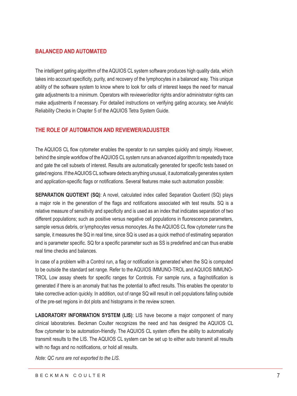## **BALANCED AND AUTOMATED**

The intelligent gating algorithm of the AQUIOS CL system software produces high quality data, which takes into account specificity, purity, and recovery of the lymphocytes in a balanced way. This unique ability of the software system to know where to look for cells of interest keeps the need for manual gate adjustments to a minimum. Operators with reviewer/editor rights and/or administrator rights can make adjustments if necessary. For detailed instructions on verifying gating accuracy, see Analytic Reliability Checks in Chapter 5 of the AQUIOS Tetra System Guide.

## **THE ROLE OF AUTOMATION AND REVIEWER/ADJUSTER**

The AQUIOS CL flow cytometer enables the operator to run samples quickly and simply. However, behind the simple workflow of the AQUIOS CL system runs an advanced algorithm to repeatedly trace and gate the cell subsets of interest. Results are automatically generated for specific tests based on gated regions. If the AQUIOS CL software detects anything unusual, it automatically generates system and application-specific flags or notifications. Several features make such automation possible:

**SEPARATION QUOTIENT (SQ)**: A novel, calculated index called Separation Quotient (SQ) plays a major role in the generation of the flags and notifications associated with test results. SQ is a relative measure of sensitivity and specificity and is used as an index that indicates separation of two different populations; such as positive versus negative cell populations in fluorescence parameters, sample versus debris, or lymphocytes versus monocytes. As the AQUIOS CL flow cytometer runs the sample, it measures the SQ in real time, since SQ is used as a quick method of estimating separation and is parameter specific. SQ for a specific parameter such as SS is predefined and can thus enable real time checks and balances.

In case of a problem with a Control run, a flag or notification is generated when the SQ is computed to be outside the standard set range. Refer to the AQUIOS IMMUNO-TROL and AQUIOS IMMUNO-TROL Low assay sheets for specific ranges for Controls. For sample runs, a flag/notification is generated if there is an anomaly that has the potential to affect results. This enables the operator to take corrective action quickly. In addition, out of range SQ will result in cell populations falling outside of the pre-set regions in dot plots and histograms in the review screen.

**LABORATORY INFORMATION SYSTEM (LIS)**: LIS have become a major component of many clinical laboratories. Beckman Coulter recognizes the need and has designed the AQUIOS CL flow cytometer to be automation-friendly. The AQUIOS CL system offers the ability to automatically transmit results to the LIS. The AQUIOS CL system can be set up to either auto transmit all results with no flags and no notifications, or hold all results.

*Note: QC runs are not exported to the LIS.*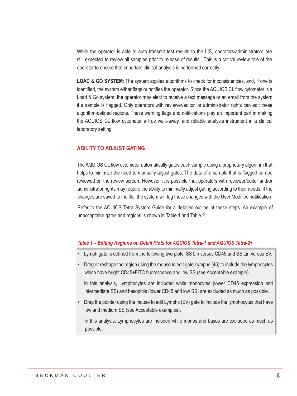While the operator is able to auto transmit test results to the LIS, operators/administrators are still expected to review all samples prior to release of results. This is a critical review role of the operator to ensure that important clinical analysis is performed correctly.

**LOAD & GO SYSTEM**: The system applies algorithms to check for inconsistencies, and, if one is identified, the system either flags or notifies the operator. Since the AQUIOS CL flow cytometer is a Load & Go system, the operator may elect to receive a text message or an email from the system if a sample is flagged. Only operators with reviewer/editor, or administrator rights can edit these algorithm-defined regions. These warning flags and notifications play an important part in making the AQUIOS CL flow cytometer a true walk-away, and reliable analysis instrument in a clinical laboratory setting.

#### **ABILITY TO ADJUST GATING**

The AQUIOS CL flow cytometer automatically gates each sample using a proprietary algorithm that helps to minimize the need to manually adjust gates. The data of a sample that is flagged can be reviewed on the review screen. However, it is possible that operators with reviewer/editor and/or administrator rights may require the ability to minimally adjust gating according to their needs. If the changes are saved to the file, the system will tag these changes with the User Modified notification.

Refer to the AQUIOS Tetra System Guide for a detailed outline of these steps. An example of unacceptable gates and regions is shown in Table 1 and Table 2.

#### *Table 1 – Editing Regions on Detail Plots for AQUIOS Tetra-1 and AQUIOS Tetra-2+*

- Lymph gate is defined from the following two plots: SS Lin versus CD45 and SS Lin versus EV.
- Drag or reshape the region using the mouse to edit gate Lymphs (45) to include the lymphocytes which have bright CD45+FITC fluorescence and low SS (see Acceptable example).

In this analysis, Lymphocytes are included while monocytes (lower CD45 expression and intermediate SS) and basophils (lower CD45 and low SS) are excluded as much as possible.

• Drag the pointer using the mouse to edit Lymphs (EV) gate to include the lymphocytes that have low and medium SS (see Acceptable examples).

In this analysis, Lymphocytes are included while monos and basos are excluded as much as possible.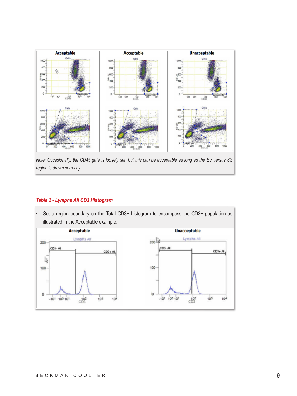

*region is drawn correctly.*

## *Table 2 - Lymphs All CD3 Histogram*

• Set a region boundary on the Total CD3+ histogram to encompass the CD3+ population as illustrated in the Acceptable example.

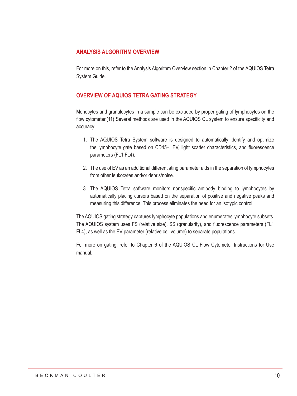## **ANALYSIS ALGORITHM OVERVIEW**

For more on this, refer to the Analysis Algorithm Overview section in Chapter 2 of the AQUIOS Tetra System Guide.

## **OVERVIEW OF AQUIOS TETRA GATING STRATEGY**

Monocytes and granulocytes in a sample can be excluded by proper gating of lymphocytes on the flow cytometer.(11) Several methods are used in the AQUIOS CL system to ensure specificity and accuracy:

- 1. The AQUIOS Tetra System software is designed to automatically identify and optimize the lymphocyte gate based on CD45+, EV, light scatter characteristics, and fluorescence parameters (FL1 FL4).
- 2. The use of EV as an additional differentiating parameter aids in the separation of lymphocytes from other leukocytes and/or debris/noise.
- 3. The AQUIOS Tetra software monitors nonspecific antibody binding to lymphocytes by automatically placing cursors based on the separation of positive and negative peaks and measuring this difference. This process eliminates the need for an isotypic control.

The AQUIOS gating strategy captures lymphocyte populations and enumerates lymphocyte subsets. The AQUIOS system uses FS (relative size), SS (granularity), and fluorescence parameters (FL1 FL4), as well as the EV parameter (relative cell volume) to separate populations.

For more on gating, refer to Chapter 6 of the AQUIOS CL Flow Cytometer Instructions for Use manual.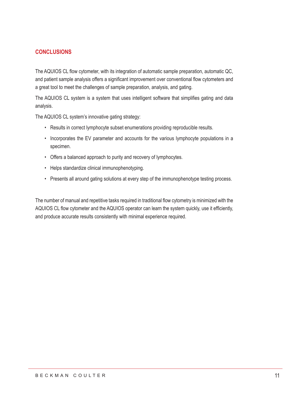## **CONCLUSIONS**

The AQUIOS CL flow cytometer, with its integration of automatic sample preparation, automatic QC, and patient sample analysis offers a significant improvement over conventional flow cytometers and a great tool to meet the challenges of sample preparation, analysis, and gating.

The AQUIOS CL system is a system that uses intelligent software that simplifies gating and data analysis.

The AQUIOS CL system's innovative gating strategy:

- Results in correct lymphocyte subset enumerations providing reproducible results.
- Incorporates the EV parameter and accounts for the various lymphocyte populations in a specimen.
- Offers a balanced approach to purity and recovery of lymphocytes.
- Helps standardize clinical immunophenotyping.
- Presents all around gating solutions at every step of the immunophenotype testing process.

The number of manual and repetitive tasks required in traditional flow cytometry is minimized with the AQUIOS CL flow cytometer and the AQUIOS operator can learn the system quickly, use it efficiently, and produce accurate results consistently with minimal experience required.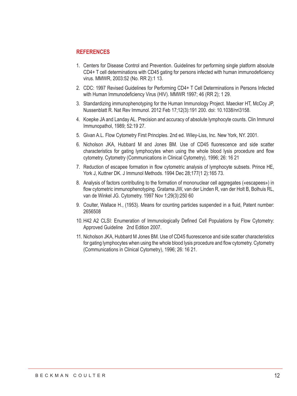#### **REFERENCES**

- 1. Centers for Disease Control and Prevention. Guidelines for performing single platform absolute CD4+ T cell determinations with CD45 gating for persons infected with human immunodeficiency virus. MMWR, 2003:52 (No. RR 2):1 13.
- 2. CDC: 1997 Revised Guidelines for Performing CD4+ T Cell Determinations in Persons Infected with Human Immunodeficiency Virus (HIV). MMWR 1997; 46 (RR 2); 1 29.
- 3. Standardizing immunophenotyping for the Human Immunology Project. Maecker HT, McCoy JP, Nussenblatt R. Nat Rev Immunol. 2012 Feb 17;12(3):191 200. doi: 10.1038/nri3158.
- 4. Koepke JA and Landay AL. Precision and accuracy of absolute lymphocyte counts. Clin Immunol Immunopathol, 1989; 52:19 27.
- 5. Givan A.L. Flow Cytometry First Principles. 2nd ed. Wiley-Liss, Inc. New York, NY. 2001.
- 6. Nicholson JKA, Hubbard M and Jones BM. Use of CD45 fluorescence and side scatter characteristics for gating lymphocytes when using the whole blood lysis procedure and flow cytometry. Cytometry (Communications in Clinical Cytometry), 1996; 26: 16 21
- 7. Reduction of escapee formation in flow cytometric analysis of lymphocyte subsets. Prince HE, York J, Kuttner DK. J Immunol Methods. 1994 Dec 28;177(1 2):165 73.
- 8. Analysis of factors contributing to the formation of mononuclear cell aggregates («escapees») in flow cytometric immunophenotyping. Gratama JW, van der Linden R, van der Holt B, Bolhuis RL, van de Winkel JG. Cytometry. 1997 Nov 1;29(3):250 60
- 9. Coulter, Wallace H., (1953). Means for counting particles suspended in a fluid, Patent number: 2656508
- 10. H42 A2 CLSI: Enumeration of Immunologically Defined Cell Populations by Flow Cytometry: Approved Guideline 2nd Edition 2007.
- 11. Nicholson JKA, Hubbard M Jones BM. Use of CD45 fluorescence and side scatter characteristics for gating lymphocytes when using the whole blood lysis procedure and flow cytometry. Cytometry (Communications in Clinical Cytometry), 1996; 26: 16 21.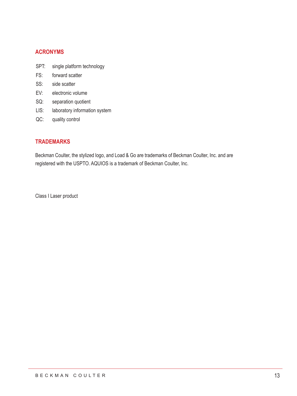## **ACRONYMS**

- SPT: single platform technology
- FS: forward scatter
- SS: side scatter
- EV: electronic volume
- SQ: separation quotient
- LIS: laboratory information system
- QC: quality control

## **TRADEMARKS**

Beckman Coulter, the stylized logo, and Load & Go are trademarks of Beckman Coulter, Inc. and are registered with the USPTO. AQUIOS is a trademark of Beckman Coulter, Inc.

Class I Laser product